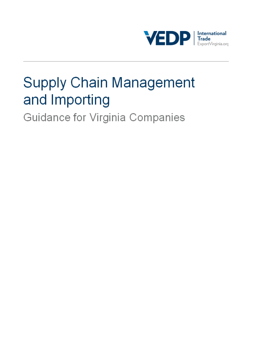

# **Supply Chain Management** and Importing

Guidance for Virginia Companies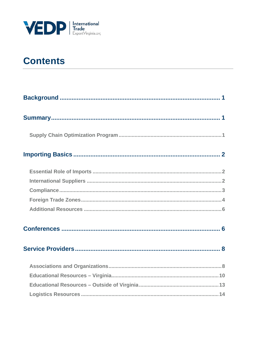

# **Contents**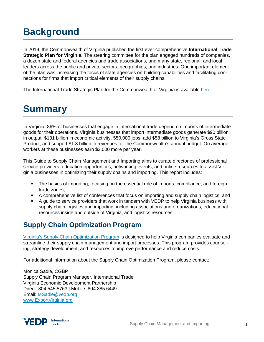# <span id="page-2-0"></span>**Background**

In 2019, the Commonwealth of Virginia published the first ever comprehensive **International Trade Strategic Plan for Virginia.** The steering committee for the plan engaged hundreds of companies, a dozen state and federal agencies and trade associations, and many state, regional, and local leaders across the public and private sectors, geographies, and industries. One important element of the plan was increasing the focus of state agencies on building capabilities and facilitating connections for firms that import critical elements of their supply chains.

<span id="page-2-1"></span>The International Trade Strategic Plan for the Commonwealth of Virginia is available [here.](https://www.governor.virginia.gov/media/governorvirginiagov/secretary-of-commerce-and-trade/pdf/An-International-Trade-Strategic-Plan-for-the-Commonwealth-of-Virginia.pdf)

# **Summary**

In Virginia, 86% of businesses that engage in international trade depend on imports of intermediate goods for their operations. Virginia businesses that import intermediate goods generate \$90 billion in output, \$131 billion in economic activity, 550,000 jobs, add \$58 billion to Virginia's Gross State Product, and support \$1.8 billion in revenues for the Commonwealth's annual budget. On average, workers at these businesses earn \$3,000 more per year.

This Guide to Supply Chain Management and Importing aims to curate directories of professional service providers, education opportunities, networking events, and online resources to assist Virginia businesses in optimizing their supply chains and importing. This report includes:

- The basics of importing, focusing on the essential role of imports, compliance, and foreign trade zones;
- A comprehensive list of conferences that focus on importing and supply chain logistics; and
- A guide to service providers that work in tandem with VEDP to help Virginia business with supply chain logistics and importing, including associations and organizations, educational resources inside and outside of Virginia, and logistics resources.

# <span id="page-2-2"></span>**Supply Chain Optimization Program**

[Virginia's Supply Chain Optimization Program](https://www.exportvirginia.org/supply-chain-optimization-program) is designed to help Virginia companies evaluate and streamline their supply chain management and import processes. This program provides counseling, strategy development, and resources to improve performance and reduce costs.

For additional information about the Supply Chain Optimization Program, please contact:

Monica Sadie, CGBP Supply Chain Program Manager, International Trade Virginia Economic Development Partnership Direct: 804.545.5763 | Mobile: 804.385.6449 Email: [MSadie@vedp.org](mailto:HPearce@yesvirginia.org) [www.ExportVirginia.org](http://www.exportvirginia.org/)

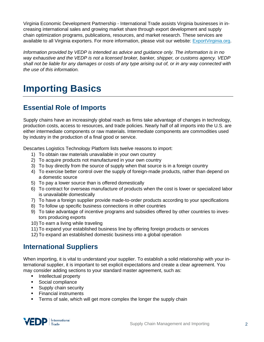Virginia Economic Development Partnership - International Trade assists Virginia businesses in increasing international sales and growing market share through export development and supply chain optimization programs, publications, resources, and market research. These services are available to all Virginia exporters. For more information, please visit our website: [ExportVirginia.org.](http://www.exportvirginia.org/)

*Information provided by VEDP is intended as advice and guidance only. The information is in no way exhaustive and the VEDP is not a licensed broker, banker, shipper, or customs agency. VEDP shall not be liable for any damages or costs of any type arising out of, or in any way connected with the use of this information.*

# <span id="page-3-0"></span>**Importing Basics**

# <span id="page-3-1"></span>**Essential Role of Imports**

Supply chains have an increasingly global reach as firms take advantage of changes in technology, production costs, access to resources, and trade policies. Nearly half of all imports into the U.S. are either intermediate components or raw materials. Intermediate components are commodities used by industry in the production of a final good or service.

Descartes Logistics Technology Platform lists twelve reasons to import:

- 1) To obtain raw materials unavailable in your own country
- 2) To acquire products not manufactured in your own country
- 3) To buy directly from the source of supply when that source is in a foreign country
- 4) To exercise better control over the supply of foreign-made products, rather than depend on a domestic source
- 5) To pay a lower source than is offered domestically
- 6) To contract for overseas manufacture of products when the cost is lower or specialized labor is unavailable domestically
- 7) To have a foreign supplier provide made-to-order products according to your specifications
- 8) To follow up specific business connections in other countries
- 9) To take advantage of incentive programs and subsidies offered by other countries to investors producing exports
- 10) To earn a living while traveling
- 11) To expand your established business line by offering foreign products or services
- 12) To expand an established domestic business into a global operation

# <span id="page-3-2"></span>**International Suppliers**

When importing, it is vital to understand your supplier. To establish a solid relationship with your international supplier, it is important to set explicit expectations and create a clear agreement. You may consider adding sections to your standard master agreement, such as:

- **Intellectual property**
- **Social compliance**
- **Supply chain security**
- **Financial instruments**
- **Terms of sale, which will get more complex the longer the supply chain**

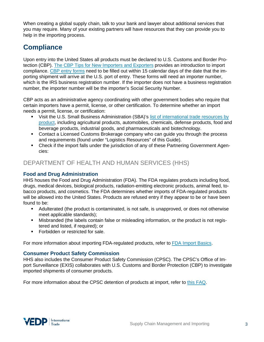When creating a global supply chain, talk to your bank and lawyer about additional services that you may require. Many of your existing partners will have resources that they can provide you to help in the importing process.

# <span id="page-4-0"></span>**Compliance**

Upon entry into the United States all products must be declared to U.S. Customs and Border Protection (CBP). The CBP Tips for New [Importers and Exporters](https://www.cbp.gov/trade/basic-import-export/importer-exporter-tips) provides an introduction to import compliance. [CBP entry forms](https://www.dhs.gov/how-do-i/find-importexport-forms) need to be filled out within 15 calendar days of the date that the importing shipment will arrive at the U.S. port of entry. These forms will need an importer number, which is the IRS business registration number. If the importer does not have a business registration number, the importer number will be the importer's Social Security Number.

CBP acts as an administrative agency coordinating with other government bodies who require that certain importers have a permit, license, or other certification. To determine whether an import needs a permit, license, or certification:

- Visit the U.S. Small Business Administration (SBA)'s [list of international trade resources by](https://www.sba.gov/offices/headquarters/oit/resources/14325)  [product,](https://www.sba.gov/offices/headquarters/oit/resources/14325) including agricultural products, automobiles, chemicals, defense products, food and beverage products, industrial goods, and pharmaceuticals and biotechnology.
- Contact a Licensed Customs Brokerage company who can guide you through the process and requirements (found under "Logistics Resources" of this Guide).
- Check if the import falls under the jurisdiction of any of these Partnering Government Agencies:

### DEPARTMENT OF HEALTH AND HUMAN SERVICES (HHS)

#### **Food and Drug Administration**

HHS houses the Food and Drug Administration (FDA). The FDA regulates products including food, drugs, medical devices, biological products, radiation-emitting electronic products, animal feed, tobacco products, and cosmetics. The FDA determines whether imports of FDA-regulated products will be allowed into the United States. Products are refused entry if they appear to be or have been found to be:

- Adulterated (the product is contaminated, is not safe, is unapproved, or does not otherwise meet applicable standards);
- Misbranded (the labels contain false or misleading information, or the product is not registered and listed, if required); or
- **Forbidden or restricted for sale.**

For more information about importing FDA-regulated products, refer to [FDA Import Basics.](https://www.fda.gov/industry/import-program-food-and-drug-administration-fda/import-basics)

#### **Consumer Product Safety Commission**

HHS also includes the Consumer Product Safety Commission (CPSC). The CPSC's Office of Import Surveillance (EXIS) collaborates with U.S. Customs and Border Protection (CBP) to investigate imported shipments of consumer products.

For more information about the CPSC detention of products at import, refer to [this FAQ.](https://www.cpsc.gov/Business--Manufacturing/Import-Safety/CPSC-Detention-of-Products-at-Import-FAQ)

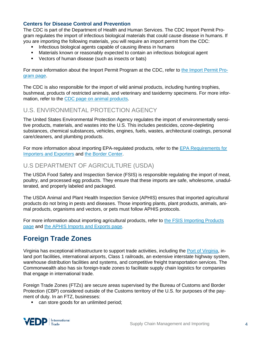#### **Centers for Disease Control and Prevention**

The CDC is part of the Department of Health and Human Services. The CDC Import Permit Program regulates the import of infectious biological materials that could cause disease in humans. If you are importing the following materials, you will require an import permit from the CDC:

- Infectious biological agents capable of causing illness in humans
- Materials known or reasonably expected to contain an infectious biological agent
- Vectors of human disease (such as insects or bats)

For more information about the Import Permit Program at the CDC, refer to [the Import Permit Pro](https://www.cdc.gov/cpr/ipp/index.htm?CDC_AA_refVal=https%3A%2F%2Fwww.cdc.gov%2Fod%2Feaipp%2Findex.htm)[gram page.](https://www.cdc.gov/cpr/ipp/index.htm?CDC_AA_refVal=https%3A%2F%2Fwww.cdc.gov%2Fod%2Feaipp%2Findex.htm)

The CDC is also responsible for the import of wild animal products, including hunting trophies, bushmeat, products of restricted animals, and veterinary and taxidermy specimens. For more information, refer to the [CDC page on animal products.](https://www.cdc.gov/importation/animal-products.html)

## U.S. ENVIRONMENTAL PROTECTION AGENCY

The United States Environmental Protection Agency regulates the import of environmentally sensitive products, materials, and wastes into the U.S. This includes pesticides, ozone-depleting substances, chemical substances, vehicles, engines, fuels, wastes, architectural coatings, personal care/cleaners, and plumbing products.

For more information about importing EPA-regulated products, refer to the [EPA Requirements for](https://www.epa.gov/importing-exporting)  [Importers and Exporters](https://www.epa.gov/importing-exporting) and [the Border Center.](https://bordercenter.org/)

# U.S DEPARTMENT OF AGRICULTURE (USDA)

The USDA Food Safety and Inspection Service (FSIS) is responsible regulating the import of meat, poultry, and processed egg products. They ensure that these imports are safe, wholesome, unadulterated, and properly labeled and packaged.

The USDA Animal and Plant Health Inspection Service (APHIS) ensures that imported agricultural products do not bring in pests and diseases. Those importing plants, plant products, animals, animal products, organisms and vectors, or pets must follow APHIS protocols.

For more information about importing agricultural products, refer to [the FSIS Importing Products](https://www.fsis.usda.gov/wps/portal/fsis/topics/international-affairs/importing-products)  [page](https://www.fsis.usda.gov/wps/portal/fsis/topics/international-affairs/importing-products) and [the APHIS Imports and Exports page.](https://www.aphis.usda.gov/aphis/ourfocus/importexport)

# <span id="page-5-0"></span>**Foreign Trade Zones**

Virginia has exceptional infrastructure to support trade activities, including the [Port of Virginia,](https://www.portofvirginia.com/) inland port facilities, international airports, Class 1 railroads, an extensive interstate highway system, warehouse distribution facilities and systems, and competitive freight transportation services. The Commonwealth also has six foreign-trade zones to facilitate supply chain logistics for companies that engage in international trade.

Foreign Trade Zones (FTZs) are secure areas supervised by the Bureau of Customs and Border Protection (CBP) considered outside of the Customs territory of the U.S. for purposes of the payment of duty. In an FTZ, businesses:

**EXEC** can store goods for an unlimited period;

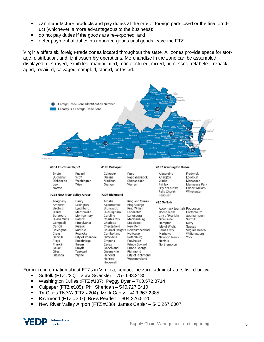- can manufacture products and pay duties at the rate of foreign parts used or the final product (whichever is more advantageous to the business);
- do not pay duties if the goods are re-exported; and
- defer payment of duties on imported goods until goods leave the FTZ.

Virginia offers six foreign-trade zones located throughout the state. All zones provide space for storage, distribution, and light assembly operations. Merchandise in the zone can be assembled, displayed, destroyed, exhibited, manipulated, manufactured, mixed, processed, relabeled, repackaged, repaired, salvaged, sampled, stored, or tested.



For more information about FTZs in Virginia, contact the zone administrators listed below:

- Suffolk (FTZ #20): Laura Swankler 757.683.2135
- Washington Dulles (FTZ #137): Peggy Dyer 703.572.8714
- Culpeper (FTZ #185): Phil Sheridan 540.727.3410
- Tri-Cities TN/VA (FTZ #204): Mark Canty 423.367.2385
- Richmond (FTZ #207): Russ Peaden 804.226.8520
- New River Valley Airport (FTZ #238): James Cabler 540.267.0007

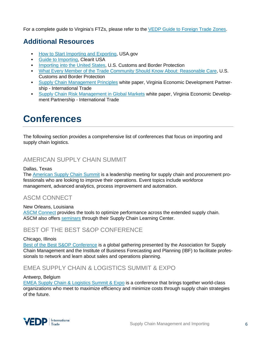<span id="page-7-0"></span>For a complete guide to Virginia's FTZs, please refer to the [VEDP Guide to Foreign Trade Zones.](https://www.vedp.org/incentive/foreign-trade-zones-ftzs)

# **Additional Resources**

- [How to Start Importing and Exporting,](https://www.usa.gov/import-export#item-37142) USA.gov
- [Guide to Importing,](https://clearitusa.com/guide-to-importing-usa/) Clearit USA
- [Importing into the United States,](https://www.cbp.gov/document/publications/importing-united-states) U.S. Customs and Border Protection
- [What Every Member of the Trade Community Should Know About: Reasonable Care,](https://www.cbp.gov/document/publications/reasonable-care) U.S. Customs and Border Protection
- **[Supply Chain Management Principles](https://www.exportvirginia.org/sites/default/files/2021-06/Supply_Chain_Management_Principles_June2021.pdf) white paper, Virginia Economic Development Partner**ship - International Trade
- [Supply Chain Risk Management in Global Markets](https://www.exportvirginia.org/sites/default/files/2021-06/Supply_Chain_Risk_Management_in_Global_Markets_June2021.pdf) white paper, Virginia Economic Development Partnership - International Trade

# <span id="page-7-1"></span>**Conferences**

The following section provides a comprehensive list of conferences that focus on importing and supply chain logistics.

# AMERICAN SUPPLY CHAIN SUMMIT

#### Dallas, Texas

The [American Supply Chain Summit](https://supplychainus.com/) is a leadership meeting for supply chain and procurement professionals who are looking to improve their operations. Event topics include workforce management, advanced analytics, process improvement and automation.

# ASCM CONNECT

New Orleans, Louisiana [ASCM Connect](https://www.ascm.org/conference/) provides the tools to optimize performance across the extended supply chain. ASCM also offers [seminars](http://www.apics.org/credentials-education/events/seminar-series) through their Supply Chain Learning Center.

# BEST OF THE BEST S&OP CONFERENCE

#### Chicago, Illinois

[Best of the Best S&OP Conference](https://ibf.org/events/chicago2022) is a global gathering presented by the Association for Supply Chain Management and the Institute of Business Forecasting and Planning (IBF) to facilitate professionals to network and learn about sales and operations planning.

# EMEA SUPPLY CHAIN & LOGISTICS SUMMIT & EXPO

#### Antwerp, Belgium

[EMEA Supply Chain & Logistics Summit & Expo](http://www.sclsummit.com/) is a conference that brings together world-class organizations who meet to maximize efficiency and minimize costs through supply chain strategies of the future.

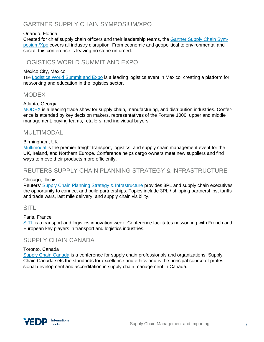# GARTNER SUPPLY CHAIN SYMPOSIUM/XPO

#### Orlando, Florida

Created for chief supply chain officers and their leadership teams, the [Gartner Supply Chain Sym](https://www.gartner.com/en/conferences/na/supply-chain-us)[posium/Xpo](https://www.gartner.com/en/conferences/na/supply-chain-us) covers all industry disruption. From economic and geopolitical to environmental and social, this conference is leaving no stone unturned.

### LOGISTICS WORLD SUMMIT AND EXPO

#### Mexico City, Mexico

The [Logistics World Summit and Expo](https://thelogisticsworld.com/summit-expo/) is a leading logistics event in Mexico, creating a platform for networking and education in the logistics sector.

### **MODEX**

#### Atlanta, Georgia

[MODEX](http://www.modexshow.com/) is a leading trade show for supply chain, manufacturing, and distribution industries. Conference is attended by key decision makers, representatives of the Fortune 1000, upper and middle management, buying teams, retailers, and individual buyers.

### MULTIMODAL

#### Birmingham, UK

[Multimodal](https://www.multimodal.org.uk/) is the premier freight transport, logistics, and supply chain management event for the UK, Ireland, and Northern Europe. Conference helps cargo owners meet new suppliers and find ways to move their products more efficiently.

### REUTERS SUPPLY CHAIN PLANNING STRATEGY & INFRASTRUCTURE

#### Chicago, Illinois

Reuters' [Supply Chain Planning Strategy & Infrastructure](https://reutersevents.com/events/planning/) provides 3PL and supply chain executives the opportunity to connect and build partnerships. Topics include 3PL / shipping partnerships, tariffs and trade wars, last mile delivery, and supply chain visibility.

### **SITL**

#### Paris, France

[SITL](https://www.sitl.eu/en-gb.html) is a transport and logistics innovation week. Conference facilitates networking with French and European key players in transport and logistics industries.

### SUPPLY CHAIN CANADA

#### Toronto, Canada

[Supply Chain Canada](https://www.supplychaincanada.com/) is a conference for supply chain professionals and organizations. Supply Chain Canada sets the standards for excellence and ethics and is the principal source of professional development and accreditation in supply chain management in Canada.

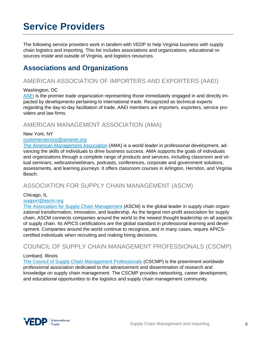# <span id="page-9-0"></span>**Service Providers**

The following service providers work in tandem with VEDP to help Virginia business with supply chain logistics and importing. This list includes associations and organizations, educational resources inside and outside of Virginia, and logistics resources.

# <span id="page-9-1"></span>**Associations and Organizations**

# AMERICAN ASSOCIATION OF IMPORTERS AND EXPORTERS (AAEI)

#### Washington, DC

[AAEI](https://aaei.org/) is the premier trade organization representing those immediately engaged in and directly impacted by developments pertaining to international trade. Recognized as technical experts regarding the day-to-day facilitation of trade, AAEI members are importers, exporters, service providers and law firms.

### AMERICAN MANAGEMENT ASSOCIATION (AMA)

#### New York, NY

#### [customerservice@amanet.org](mailto:customerservice@amanet.org)

[The American Management Association](https://www.amanet.org/) (AMA) is a world leader in professional development, advancing the skills of individuals to drive business success. AMA supports the goals of individuals and organizations through a complete range of products and services, including classroom and virtual seminars, webcasts/webinars, podcasts, conferences, corporate and government solutions, assessments, and learning journeys. It offers classroom courses in Arlington, Herndon, and Virginia Beach.

### ASSOCIATION FOR SUPPLY CHAIN MANAGEMENT (ASCM)

#### Chicago, IL

#### [support@ascm.org](mailto:support@ascm.org)

[The Association for Supply Chain Management](https://www.ascm.org/about-ascm/) (ASCM) is the global leader in supply chain organizational transformation, innovation, and leadership. As the largest non-profit association for supply chain, ASCM connects companies around the world to the newest thought leadership on all aspects of supply chain. Its APICS certifications are the global standard in professional learning and development. Companies around the world continue to recognize, and in many cases, require APICScertified individuals when recruiting and making hiring decisions.

### COUNCIL OF SUPPLY CHAIN MANAGEMENT PROFESSIONALS (CSCMP)

#### Lombard, Illinois

[The Council of Supply Chain Management Professionals](https://cscmp.org/) (CSCMP) is the preeminent worldwide professional association dedicated to the advancement and dissemination of research and knowledge on supply chain management. The CSCMP provides networking, career development, and educational opportunities to the logistics and supply chain management community.

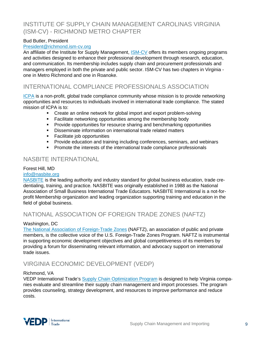# INSTITUTE OF SUPPLY CHAIN MANAGEMENT CAROLINAS VIRGINIA (ISM-CV) - RICHMOND METRO CHAPTER

#### Bud Butler, President

#### [President@richmond.ism-cv.org](mailto:President@richmond.ism-cv.org)

An affiliate of the Institute for Supply Management, [ISM-CV](https://richmond.ism-cv.org/insidepages/about.cfm) offers its members ongoing programs and activities designed to enhance their professional development through research, education, and communication. Its membership includes supply chain and procurement professionals and managers employed in both the private and public sector. ISM-CV has two chapters in Virginia one in Metro Richmond and one in Roanoke.

### INTERNATIONAL COMPLIANCE PROFESSIONALS ASSOCIATION

[ICPA](https://www.icpainc.org/) is a non-profit, global trade compliance community whose mission is to provide networking opportunities and resources to individuals involved in international trade compliance. The stated mission of ICPA is to:

- Create an online network for global import and export problem-solving
- **Facilitate networking opportunities among the membership body**
- Provide opportunities for resource sharing and benchmarking opportunities
- **-** Disseminate information on international trade related matters
- **Facilitate job opportunities**
- **Provide education and training including conferences, seminars, and webinars**
- **Promote the interests of the international trade compliance professionals**

## NASBITE INTERNATIONAL

#### Forest Hill, MD

#### [info@nasbite.org](mailto:info@nasbite.org)

[NASBITE](http://www.nasbite.org/) is the leading authority and industry standard for global business education, trade credentialing, training, and practice. NASBITE was originally established in 1988 as the National Association of Small Business International Trade Educators. NASBITE International is a not-forprofit Membership organization and leading organization supporting training and education in the field of global business.

### NATIONAL ASSOCIATION OF FOREIGN TRADE ZONES (NAFTZ)

#### Washington, DC

[The National Association of Foreign-Trade Zones](https://www.naftz.org/) (NAFTZ), an association of public and private members, is the collective voice of the U.S. Foreign-Trade Zones Program. NAFTZ is instrumental in supporting economic development objectives and global competitiveness of its members by providing a forum for disseminating relevant information, and advocacy support on international trade issues.

### VIRGINIA ECONOMIC DEVELOPMENT (VEDP)

#### Richmond, VA

VEDP International Trade's [Supply Chain Optimization Program](https://exportvirginia.org/supply-chain-optimization-program) is designed to help Virginia companies evaluate and streamline their supply chain management and import processes. The program provides counseling, strategy development, and resources to improve performance and reduce costs.

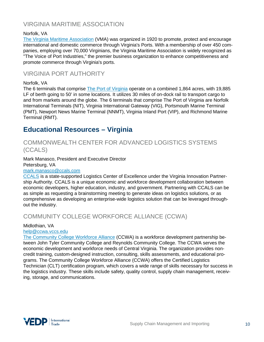# VIRGINIA MARITIME ASSOCIATION

#### Norfolk, VA

[The Virginia Maritime Association](https://www.vamaritime.com/) (VMA) was organized in 1920 to promote, protect and encourage international and domestic commerce through Virginia's Ports. With a membership of over 450 companies, employing over 70,000 Virginians, the Virginia Maritime Association is widely recognized as "The Voice of Port Industries," the premier business organization to enhance competitiveness and promote commerce through Virginia's ports.

## VIRGINIA PORT AUTHORITY

#### Norfolk, VA

The 6 terminals that comprise [The Port of Virginia](http://www.portofvirginia.com/) operate on a combined 1,864 acres, with 19,885 LF of berth going to 50' in some locations. It utilizes 30 miles of on-dock rail to transport cargo to and from markets around the globe. The 6 terminals that comprise The Port of Virginia are Norfolk International Terminals (NIT), Virginia International Gateway (VIG), Portsmouth Marine Terminal (PMT), Newport News Marine Terminal (NNMT), Virginia Inland Port (VIP), and Richmond Marine Terminal (RMT).

# <span id="page-11-0"></span>**Educational Resources – Virginia**

### COMMONWEALTH CENTER FOR ADVANCED LOGISTICS SYSTEMS (CCALS)

Mark Manasco, President and Executive Director Petersburg, VA

#### [mark.manasco@ccals.com](mailto:mark.manasco@ccals.com)

[CCALS](https://www.ccals.com/) is a state-supported Logistics Center of Excellence under the Virginia Innovation Partnership Authority. CCALS is a unique economic and workforce development collaboration between economic developers, higher education, industry, and government. Partnering with CCALS can be as simple as requesting a brainstorming meeting to generate ideas on logistics solutions, or as comprehensive as developing an enterprise-wide logistics solution that can be leveraged throughout the industry.

# COMMUNITY COLLEGE WORKFORCE ALLIANCE (CCWA)

#### Midlothian, VA

#### [help@ccwa.vccs.edu](mailto:help@ccwa.vccs.edu)

[The Community College Workforce Alliance](https://ccwatraining.org/training-for-individuals/career-paths/logistics) (CCWA) is a workforce development partnership between John Tyler Community College and Reynolds Community College. The CCWA serves the economic development and workforce needs of Central Virginia. The organization provides noncredit training, custom-designed instruction, consulting, skills assessments, and educational programs. The Community College Workforce Alliance (CCWA) offers the Certified Logistics Technician (CLT) certification program, which covers a wide range of skills necessary for success in the logistics industry. These skills include safety, quality control, supply chain management, receiving, storage, and communications.

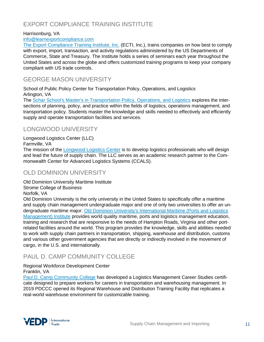# EXPORT COMPLIANCE TRAINING INSTITUTE

#### Harrisonburg, VA

#### [info@learnexportcompliance.com](mailto:info@learnexportcompliance.com)

[The Export Compliance Training Institute, Inc.](https://www.learnexportcompliance.com/about-ecti/) (ECTI, Inc.), trains companies on how best to comply with export, import, transaction, and activity regulations administered by the US Departments of Commerce, State and Treasury. The Institute holds a series of seminars each year throughout the United States and across the globe and offers customized training programs to keep your company compliant with US trade controls.

### GEORGE MASON UNIVERSITY

School of Public Policy Center for Transportation Policy, Operations, and Logistics Arlington, VA

The [Schar School's Master's in Transportation Policy, Operations, and Logistics](https://schar.gmu.edu/prospective-students/programs/masters-programs/transportation-policy-operations-and-logistics) explores the intersections of planning, policy, and practice within the fields of logistics, operations management, and transportation policy. Students master the knowledge and skills needed to effectively and efficiently supply and operate transportation facilities and services.

## LONGWOOD UNIVERSITY

Longwood Logistics Center (LLC)

Farmville, VA

The mission of the **Longwood Logistics Center** is to develop logistics professionals who will design and lead the future of supply chain. The LLC serves as an academic research partner to the Commonwealth Center for Advanced Logistics Systems (CCALS).

### OLD DOMINION UNIVERSITY

Old Dominion University Maritime Institute Strome College of Business

Norfolk, VA

Old Dominion University is the only university in the United States to specifically offer a maritime and supply chain management undergraduate major and one of only two universities to offer an undergraduate maritime major. [Old Dominion University's International Maritime \(Ports and Logistics](https://www.odu.edu/business/center/port)  [Management\) Institute](https://www.odu.edu/business/center/port) provides world quality maritime, ports and logistics management education, training and research that are responsive to the needs of Hampton Roads, Virginia and other portrelated facilities around the world. This program provides the knowledge, skills and abilities needed to work with supply chain partners in transportation, shipping, warehouse and distribution, customs and various other government agencies that are directly or indirectly involved in the movement of cargo, in the U.S. and internationally.

# PAUL D. CAMP COMMUNITY COLLEGE

Regional Workforce Development Center

Franklin, VA

[Paul D. Camp Community College](https://www.pdc.edu/workforce-development/logistics-certifications/) has developed a Logistics Management Career Studies certificate designed to prepare workers for careers in transportation and warehousing management. In 2019 PDCCC opened its Regional Warehouse and Distribution Training Facility that replicates a real-world warehouse environment for customizable training.

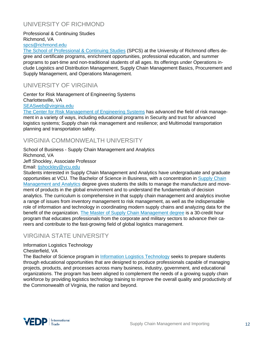# UNIVERSITY OF RICHMOND

Professional & Continuing Studies Richmond, VA [spcs@richmond.edu](mailto:spcs@richmond.edu)

[The School of Professional & Continuing Studies](https://richmond.mindedgeonline.com/partner/courses/) (SPCS) at the University of Richmond offers degree and certificate programs, enrichment opportunities, professional education, and summer programs to part-time and non-traditional students of all ages. Its offerings under Operations include Logistics and Distribution Management, Supply Chain Management Basics, Procurement and Supply Management, and Operations Management.

## UNIVERSITY OF VIRGINIA

Center for Risk Management of Engineering Systems Charlottesville, VA [SEASweb@virginia.edu](mailto:SEASweb@virginia.edu)

[The Center for Risk Management of Engineering Systems](https://engineering.virginia.edu/research/centers-institutes/center-risk-management-engineering-systems) has advanced the field of risk management in a variety of ways, including educational programs in Security and trust for advanced logistics systems; Supply chain risk management and resilience; and Multimodal transportation planning and transportation safety.

# VIRGINIA COMMONWEALTH UNIVERSITY

#### School of Business - Supply Chain Management and Analytics Richmond, VA Jeff Shockley, Associate Professor Email: [tjshockley@vcu.edu](mailto:tjshockley@vcu.edu)

Students interested in Supply Chain Management and Analytics have undergraduate and graduate opportunities at VCU. The Bachelor of Science in Business, with a concentration in [Supply Chain](http://bulletin.vcu.edu/undergraduate/business/supply-chain-management/business-bs-concentration-supply-chain-management-analytics/#text)  [Management and Analytics](http://bulletin.vcu.edu/undergraduate/business/supply-chain-management/business-bs-concentration-supply-chain-management-analytics/#text) degree gives students the skills to manage the manufacture and movement of products in the global environment and to understand the fundamentals of decision analytics. The curriculum is comprehensive in that supply chain management and analytics involve a range of issues from inventory management to risk management, as well as the indispensable role of information and technology in coordinating modern supply chains and analyzing data for the benefit of the organization. [The Master of Supply Chain Management degree](https://business.vcu.edu/academics/supply-chain-management-and-analytics/master-of-supply-chain-management/) is a 30-credit hour program that educates professionals from the corporate and military sectors to advance their careers and contribute to the fast-growing field of global logistics management.

# VIRGINIA STATE UNIVERSITY

#### Information Logistics Technology

Chesterfield, VA

The Bachelor of Science program in [Information Logistics Technology](http://www.cet.vsu.edu/departments/technology/programs/information-logistics-technology/index.php) seeks to prepare students through educational opportunities that are designed to produce professionals capable of managing projects, products, and processes across many business, industry, government, and educational organizations. The program has been aligned to complement the needs of a growing supply chain workforce by providing logistics technology training to improve the overall quality and productivity of the Commonwealth of Virginia, the nation and beyond.

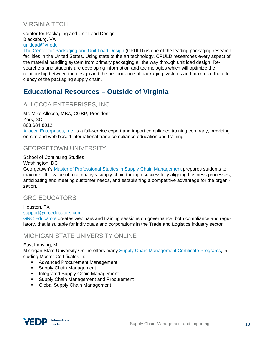# VIRGINIA TECH

Center for Packaging and Unit Load Design Blacksburg, VA [unitload@vt.edu](mailto:unitload@vt.edu)

[The Center for Packaging and Unit Load Design](https://www.unitload.vt.edu/) (CPULD) is one of the leading packaging research facilities in the United States. Using state of the art technology, CPULD researches every aspect of the material handling system from primary packaging all the way through unit load design. Researchers and students are developing information and technologies which will optimize the relationship between the design and the performance of packaging systems and maximize the efficiency of the packaging supply chain.

# <span id="page-14-0"></span>**Educational Resources – Outside of Virginia**

# ALLOCCA ENTERPRISES, INC.

Mr. Mike Allocca, MBA, CGBP, President York, SC 803.684.8012 [Allocca Enterprises, Inc.](http://www.alloccaenterprises.com/) is a full-service export and import compliance training company, providing on-site and web based international trade compliance education and training.

## GEORGETOWN UNIVERSITY

School of Continuing Studies

Washington, DC

Georgetown's [Master of Professional Studies in Supply Chain Management](https://scs.georgetown.edu/programs/503/master-of-professional-studies-in-supply-chain-management/?utm_source=supplychain247&utm_medium=email&utm_campaign=fy20-dmi-scm-stu-email-supchain247-en-content-link) prepares students to maximize the value of a company's supply chain through successfully aligning business processes, anticipating and meeting customer needs, and establishing a competitive advantage for the organization.

# GRC EDUCATORS

Houston, TX [support@grceducators.com](mailto:support@grceducators.com)

[GRC Educators](http://www.grceducators.com/) creates webinars and training sessions on governance, both compliance and regulatory, that is suitable for individuals and corporations in the Trade and Logistics industry sector.

# MICHIGAN STATE UNIVERSITY ONLINE

#### East Lansing, MI

Michigan State University Online offers many [Supply Chain Management Certificate Programs,](https://www.michiganstateuniversityonline.com/programs/supply-chain-management) including Master Certificates in:

- **Advanced Procurement Management**
- **Supply Chain Management**
- **Integrated Supply Chain Management**
- **Supply Chain Management and Procurement**
- **Global Supply Chain Management**